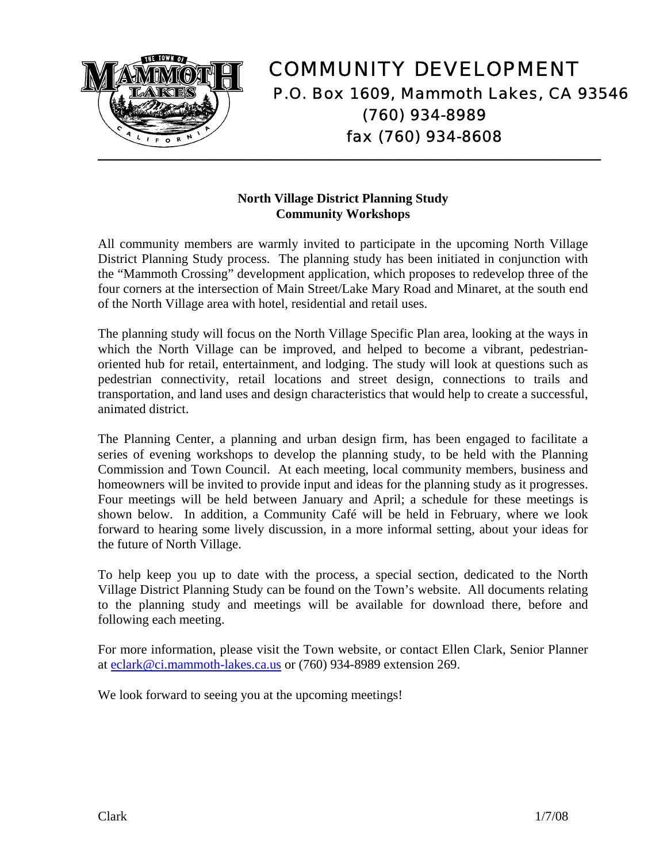

## **North Village District Planning Study Community Workshops**

All community members are warmly invited to participate in the upcoming North Village District Planning Study process. The planning study has been initiated in conjunction with the "Mammoth Crossing" development application, which proposes to redevelop three of the four corners at the intersection of Main Street/Lake Mary Road and Minaret, at the south end of the North Village area with hotel, residential and retail uses.

The planning study will focus on the North Village Specific Plan area, looking at the ways in which the North Village can be improved, and helped to become a vibrant, pedestrianoriented hub for retail, entertainment, and lodging. The study will look at questions such as pedestrian connectivity, retail locations and street design, connections to trails and transportation, and land uses and design characteristics that would help to create a successful, animated district.

The Planning Center, a planning and urban design firm, has been engaged to facilitate a series of evening workshops to develop the planning study, to be held with the Planning Commission and Town Council. At each meeting, local community members, business and homeowners will be invited to provide input and ideas for the planning study as it progresses. Four meetings will be held between January and April; a schedule for these meetings is shown below. In addition, a Community Café will be held in February, where we look forward to hearing some lively discussion, in a more informal setting, about your ideas for the future of North Village.

To help keep you up to date with the process, a special section, dedicated to the North Village District Planning Study can be found on the Town's website. All documents relating to the planning study and meetings will be available for download there, before and following each meeting.

For more information, please visit the Town website, or contact Ellen Clark, Senior Planner at eclark@ci.mammoth-lakes.ca.us or (760) 934-8989 extension 269.

We look forward to seeing you at the upcoming meetings!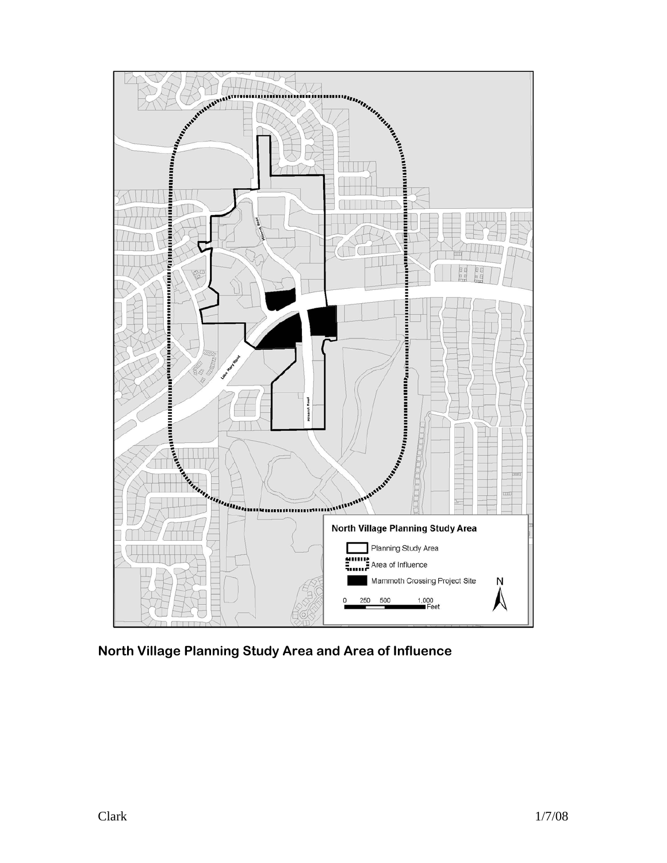

**North Village Planning Study Area and Area of Influence**